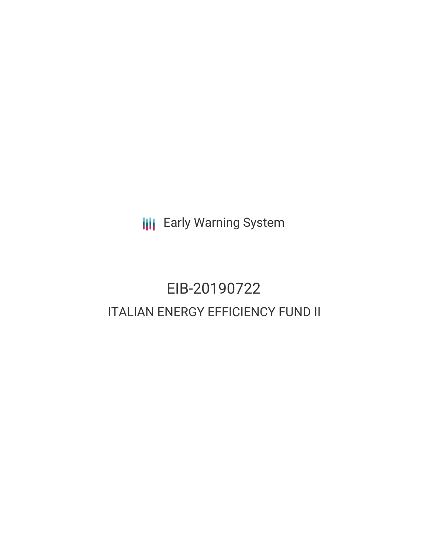**III** Early Warning System

# EIB-20190722 ITALIAN ENERGY EFFICIENCY FUND II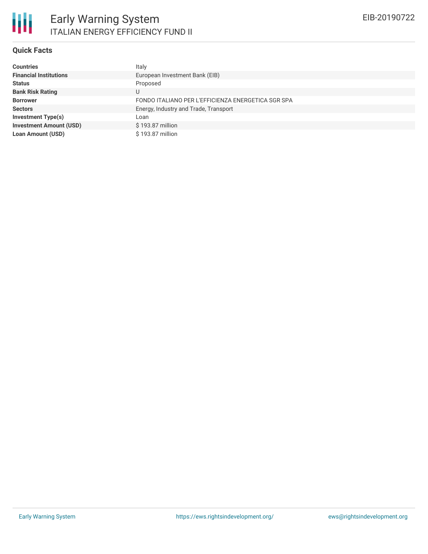### **Quick Facts**

| <b>Countries</b>               | Italy                                              |
|--------------------------------|----------------------------------------------------|
| <b>Financial Institutions</b>  | European Investment Bank (EIB)                     |
| <b>Status</b>                  | Proposed                                           |
| <b>Bank Risk Rating</b>        | U                                                  |
| <b>Borrower</b>                | FONDO ITALIANO PER L'EFFICIENZA ENERGETICA SGR SPA |
| <b>Sectors</b>                 | Energy, Industry and Trade, Transport              |
| <b>Investment Type(s)</b>      | Loan                                               |
| <b>Investment Amount (USD)</b> | \$193.87 million                                   |
| <b>Loan Amount (USD)</b>       | \$193.87 million                                   |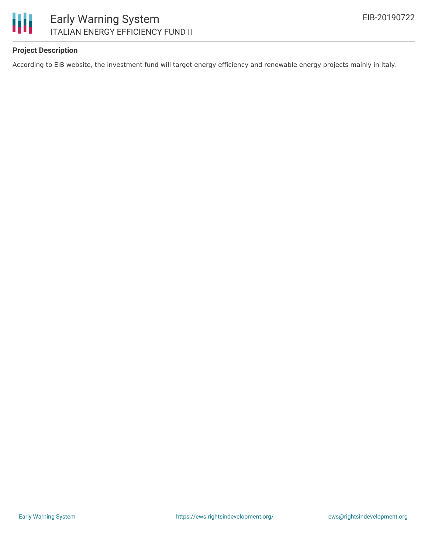

### Early Warning System ITALIAN ENERGY EFFICIENCY FUND II

### **Project Description**

According to EIB website, the investment fund will target energy efficiency and renewable energy projects mainly in Italy.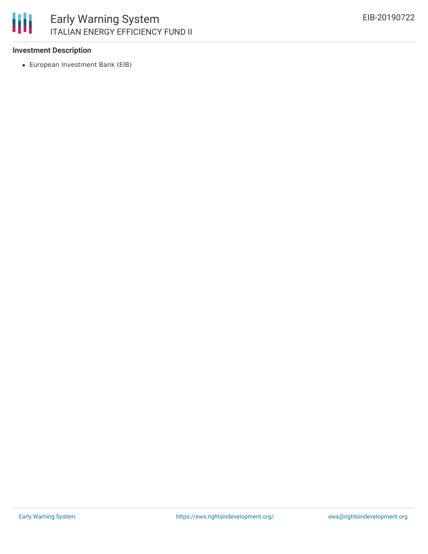

#### **Investment Description**

European Investment Bank (EIB)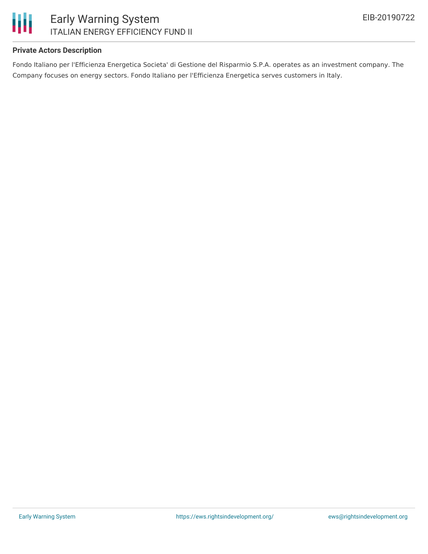

## Early Warning System ITALIAN ENERGY EFFICIENCY FUND II

### **Private Actors Description**

Fondo Italiano per l'Efficienza Energetica Societa' di Gestione del Risparmio S.P.A. operates as an investment company. The Company focuses on energy sectors. Fondo Italiano per l'Efficienza Energetica serves customers in Italy.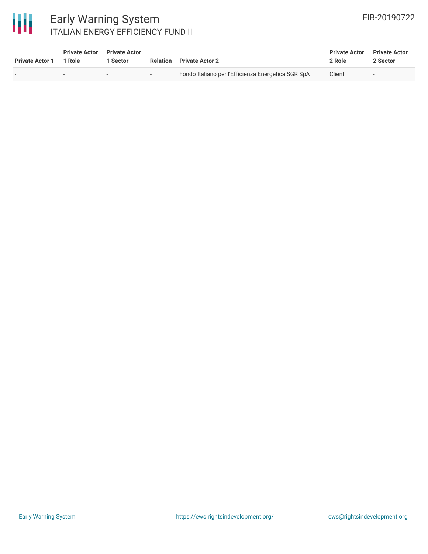

### Early Warning System ITALIAN ENERGY EFFICIENCY FUND II

| <b>Private Actor 1</b> | <b>Private Actor</b><br>1 Role | <b>Private Actor</b><br>Sector | Relation | <b>Private Actor 2</b>                             | <b>Private Actor</b><br>2 Role | <b>Private Actor</b><br>2 Sector |
|------------------------|--------------------------------|--------------------------------|----------|----------------------------------------------------|--------------------------------|----------------------------------|
|                        | $\overline{\phantom{0}}$       | $\overline{\phantom{a}}$       | $-$      | Fondo Italiano per l'Efficienza Energetica SGR SpA | Client                         |                                  |